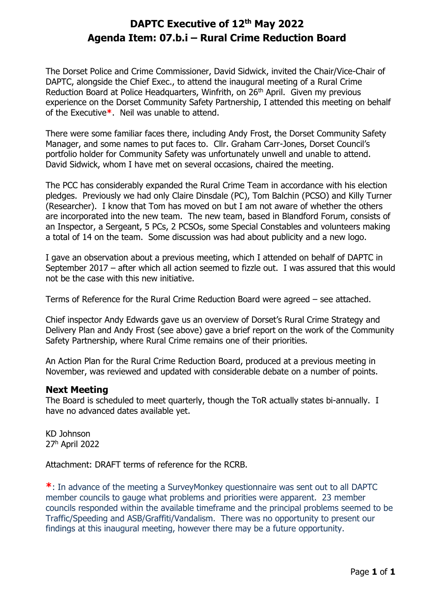### **DAPTC Executive of 12th May 2022 Agenda Item: 07.b.i – Rural Crime Reduction Board**

The Dorset Police and Crime Commissioner, David Sidwick, invited the Chair/Vice-Chair of DAPTC, alongside the Chief Exec., to attend the inaugural meeting of a Rural Crime Reduction Board at Police Headquarters, Winfrith, on 26<sup>th</sup> April. Given my previous experience on the Dorset Community Safety Partnership, I attended this meeting on behalf of the Executive**\***. Neil was unable to attend.

There were some familiar faces there, including Andy Frost, the Dorset Community Safety Manager, and some names to put faces to. Cllr. Graham Carr-Jones, Dorset Council's portfolio holder for Community Safety was unfortunately unwell and unable to attend. David Sidwick, whom I have met on several occasions, chaired the meeting.

The PCC has considerably expanded the Rural Crime Team in accordance with his election pledges. Previously we had only Claire Dinsdale (PC), Tom Balchin (PCSO) and Killy Turner (Researcher). I know that Tom has moved on but I am not aware of whether the others are incorporated into the new team. The new team, based in Blandford Forum, consists of an Inspector, a Sergeant, 5 PCs, 2 PCSOs, some Special Constables and volunteers making a total of 14 on the team. Some discussion was had about publicity and a new logo.

I gave an observation about a previous meeting, which I attended on behalf of DAPTC in September 2017 – after which all action seemed to fizzle out. I was assured that this would not be the case with this new initiative.

Terms of Reference for the Rural Crime Reduction Board were agreed – see attached.

Chief inspector Andy Edwards gave us an overview of Dorset's Rural Crime Strategy and Delivery Plan and Andy Frost (see above) gave a brief report on the work of the Community Safety Partnership, where Rural Crime remains one of their priorities.

An Action Plan for the Rural Crime Reduction Board, produced at a previous meeting in November, was reviewed and updated with considerable debate on a number of points.

#### **Next Meeting**

The Board is scheduled to meet quarterly, though the ToR actually states bi-annually. I have no advanced dates available yet.

KD Johnson 27<sup>h</sup> April 2022

Attachment: DRAFT terms of reference for the RCRB.

**\***: In advance of the meeting a SurveyMonkey questionnaire was sent out to all DAPTC member councils to gauge what problems and priorities were apparent. 23 member councils responded within the available timeframe and the principal problems seemed to be Traffic/Speeding and ASB/Graffiti/Vandalism. There was no opportunity to present our findings at this inaugural meeting, however there may be a future opportunity.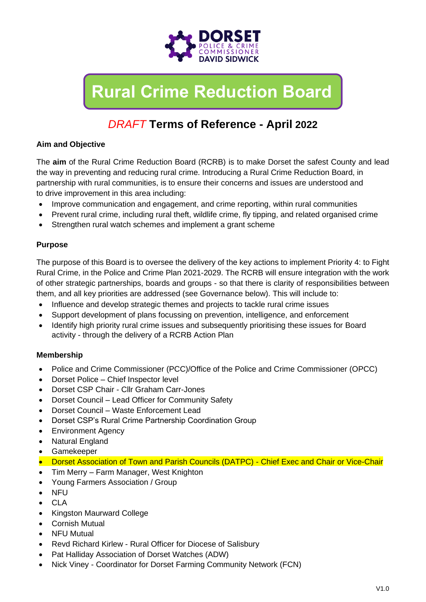

# **Rural Crime Reduction Board**

## *DRAFT* **Terms of Reference - April 2022**

#### **Aim and Objective**

The **aim** of the Rural Crime Reduction Board (RCRB) is to make Dorset the safest County and lead the way in preventing and reducing rural crime. Introducing a Rural Crime Reduction Board, in partnership with rural communities, is to ensure their concerns and issues are understood and to drive improvement in this area including:

- Improve communication and engagement, and crime reporting, within rural communities
- Prevent rural crime, including rural theft, wildlife crime, fly tipping, and related organised crime
- Strengthen rural watch schemes and implement a grant scheme

#### **Purpose**

The purpose of this Board is to oversee the delivery of the key actions to implement Priority 4: to Fight Rural Crime, in the Police and Crime Plan 2021-2029. The RCRB will ensure integration with the work of other strategic partnerships, boards and groups - so that there is clarity of responsibilities between them, and all key priorities are addressed (see Governance below). This will include to:

- Influence and develop strategic themes and projects to tackle rural crime issues
- Support development of plans focussing on prevention, intelligence, and enforcement
- Identify high priority rural crime issues and subsequently prioritising these issues for Board activity - through the delivery of a RCRB Action Plan

#### **Membership**

- Police and Crime Commissioner (PCC)/Office of the Police and Crime Commissioner (OPCC)
- Dorset Police Chief Inspector level
- Dorset CSP Chair Cllr Graham Carr-Jones
- Dorset Council Lead Officer for Community Safety
- Dorset Council Waste Enforcement Lead
- Dorset CSP's Rural Crime Partnership Coordination Group
- Environment Agency
- Natural England
- Gamekeeper
- Dorset Association of Town and Parish Councils (DATPC) Chief Exec and Chair or Vice-Chair
- Tim Merry Farm Manager, West Knighton
- Young Farmers Association / Group
- NFU
- CLA
- Kingston Maurward College
- Cornish Mutual
- **NFU Mutual**
- Revd Richard Kirlew Rural Officer for Diocese of Salisbury
- Pat Halliday Association of Dorset Watches (ADW)
- Nick Viney Coordinator for Dorset Farming Community Network (FCN)